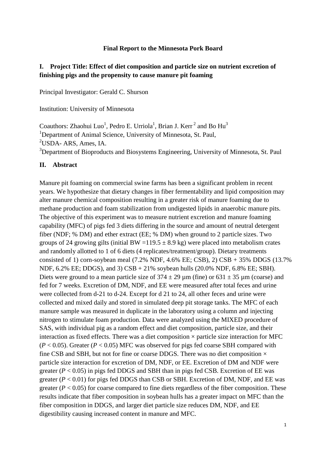## **Final Report to the Minnesota Pork Board**

## **I. Project Title: Effect of diet composition and particle size on nutrient excretion of finishing pigs and the propensity to cause manure pit foaming**

Principal Investigator: Gerald C. Shurson

Institution: University of Minnesota

Coauthors: Zhaohui Luo<sup>1</sup>, Pedro E. Urriola<sup>1</sup>, Brian J. Kerr<sup>2</sup> and Bo Hu<sup>3</sup> <sup>1</sup>Department of Animal Science, University of Minnesota, St. Paul, <sup>2</sup>USDA- ARS, Ames, IA. <sup>3</sup>Department of Bioproducts and Biosystems Engineering, University of Minnesota, St. Paul

## **II. Abstract**

Manure pit foaming on commercial swine farms has been a significant problem in recent years. We hypothesize that dietary changes in fiber fermentability and lipid composition may alter manure chemical composition resulting in a greater risk of manure foaming due to methane production and foam stabilization from undigested lipids in anaerobic manure pits. The objective of this experiment was to measure nutrient excretion and manure foaming capability (MFC) of pigs fed 3 diets differing in the source and amount of neutral detergent fiber (NDF; % DM) and ether extract (EE; % DM) when ground to 2 particle sizes. Two groups of 24 growing gilts (initial BW =119.5  $\pm$  8.9 kg) were placed into metabolism crates and randomly allotted to 1 of 6 diets (4 replicates/treatment/group). Dietary treatments consisted of 1) corn-soybean meal  $(7.2\% \text{ NDF}, 4.6\% \text{ EE}; \text{CSB}), 2) \text{ CSB} + 35\% \text{ DDGS}$   $(13.7\%$ NDF, 6.2% EE; DDGS), and 3) CSB + 21% soybean hulls (20.0% NDF, 6.8% EE; SBH). Diets were ground to a mean particle size of  $374 \pm 29 \,\mu m$  (fine) or  $631 \pm 35 \,\mu m$  (coarse) and fed for 7 weeks. Excretion of DM, NDF, and EE were measured after total feces and urine were collected from d-21 to d-24. Except for d 21 to 24, all other feces and urine were collected and mixed daily and stored in simulated deep pit storage tanks. The MFC of each manure sample was measured in duplicate in the laboratory using a column and injecting nitrogen to stimulate foam production. Data were analyzed using the MIXED procedure of SAS, with individual pig as a random effect and diet composition, particle size, and their interaction as fixed effects. There was a diet composition  $\times$  particle size interaction for MFC  $(P < 0.05)$ . Greater  $(P < 0.05)$  MFC was observed for pigs fed coarse SBH compared with fine CSB and SBH, but not for fine or coarse DDGS. There was no diet composition  $\times$ particle size interaction for excretion of DM, NDF, or EE. Excretion of DM and NDF were greater  $(P < 0.05)$  in pigs fed DDGS and SBH than in pigs fed CSB. Excretion of EE was greater  $(P < 0.01)$  for pigs fed DDGS than CSB or SBH. Excretion of DM, NDF, and EE was greater  $(P < 0.05)$  for coarse compared to fine diets regardless of the fiber composition. These results indicate that fiber composition in soybean hulls has a greater impact on MFC than the fiber composition in DDGS, and larger diet particle size reduces DM, NDF, and EE digestibility causing increased content in manure and MFC.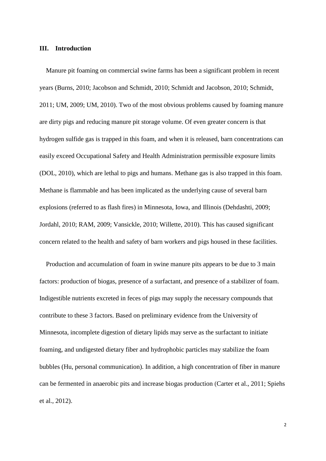#### **III. Introduction**

Manure pit foaming on commercial swine farms has been a significant problem in recent years (Burns, 2010; Jacobson and Schmidt, 2010; Schmidt and Jacobson, 2010; Schmidt, 2011; UM, 2009; UM, 2010). Two of the most obvious problems caused by foaming manure are dirty pigs and reducing manure pit storage volume. Of even greater concern is that hydrogen sulfide gas is trapped in this foam, and when it is released, barn concentrations can easily exceed Occupational Safety and Health Administration permissible exposure limits (DOL, 2010), which are lethal to pigs and humans. Methane gas is also trapped in this foam. Methane is flammable and has been implicated as the underlying cause of several barn explosions (referred to as flash fires) in Minnesota, Iowa, and Illinois (Dehdashti, 2009; Jordahl, 2010; RAM, 2009; Vansickle, 2010; Willette, 2010). This has caused significant concern related to the health and safety of barn workers and pigs housed in these facilities.

Production and accumulation of foam in swine manure pits appears to be due to 3 main factors: production of biogas, presence of a surfactant, and presence of a stabilizer of foam. Indigestible nutrients excreted in feces of pigs may supply the necessary compounds that contribute to these 3 factors. Based on preliminary evidence from the University of Minnesota, incomplete digestion of dietary lipids may serve as the surfactant to initiate foaming, and undigested dietary fiber and hydrophobic particles may stabilize the foam bubbles (Hu, personal communication). In addition, a high concentration of fiber in manure can be fermented in anaerobic pits and increase biogas production (Carter et al., 2011; Spiehs et al., 2012).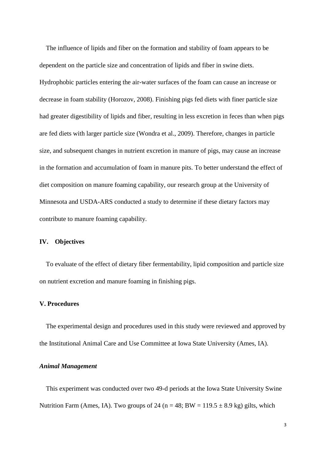The influence of lipids and fiber on the formation and stability of foam appears to be dependent on the particle size and concentration of lipids and fiber in swine diets. Hydrophobic particles entering the air-water surfaces of the foam can cause an increase or decrease in foam stability (Horozov, 2008). Finishing pigs fed diets with finer particle size had greater digestibility of lipids and fiber, resulting in less excretion in feces than when pigs are fed diets with larger particle size (Wondra et al., 2009). Therefore, changes in particle size, and subsequent changes in nutrient excretion in manure of pigs, may cause an increase in the formation and accumulation of foam in manure pits. To better understand the effect of diet composition on manure foaming capability, our research group at the University of Minnesota and USDA-ARS conducted a study to determine if these dietary factors may contribute to manure foaming capability.

## **IV. Objectives**

To evaluate of the effect of dietary fiber fermentability, lipid composition and particle size on nutrient excretion and manure foaming in finishing pigs.

## **V. Procedures**

The experimental design and procedures used in this study were reviewed and approved by the Institutional Animal Care and Use Committee at Iowa State University (Ames, IA).

## *Animal Management*

This experiment was conducted over two 49-d periods at the Iowa State University Swine Nutrition Farm (Ames, IA). Two groups of 24 ( $n = 48$ ; BW = 119.5  $\pm$  8.9 kg) gilts, which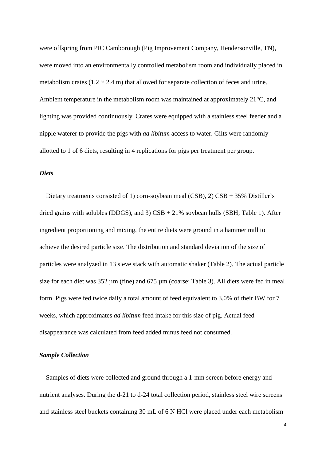were offspring from PIC Camborough (Pig Improvement Company, Hendersonville, TN), were moved into an environmentally controlled metabolism room and individually placed in metabolism crates  $(1.2 \times 2.4 \text{ m})$  that allowed for separate collection of feces and urine. Ambient temperature in the metabolism room was maintained at approximately 21°C, and lighting was provided continuously. Crates were equipped with a stainless steel feeder and a nipple waterer to provide the pigs with *ad libitum* access to water. Gilts were randomly allotted to 1 of 6 diets, resulting in 4 replications for pigs per treatment per group.

## *Diets*

Dietary treatments consisted of 1) corn-soybean meal (CSB), 2) CSB + 35% Distiller's dried grains with solubles (DDGS), and 3)  $CSB + 21\%$  soybean hulls (SBH; Table 1). After ingredient proportioning and mixing, the entire diets were ground in a hammer mill to achieve the desired particle size. The distribution and standard deviation of the size of particles were analyzed in 13 sieve stack with automatic shaker (Table 2). The actual particle size for each diet was 352  $\mu$ m (fine) and 675  $\mu$ m (coarse; Table 3). All diets were fed in meal form. Pigs were fed twice daily a total amount of feed equivalent to 3.0% of their BW for 7 weeks, which approximates *ad libitum* feed intake for this size of pig. Actual feed disappearance was calculated from feed added minus feed not consumed.

## *Sample Collection*

Samples of diets were collected and ground through a 1-mm screen before energy and nutrient analyses. During the d-21 to d-24 total collection period, stainless steel wire screens and stainless steel buckets containing 30 mL of 6 N HCl were placed under each metabolism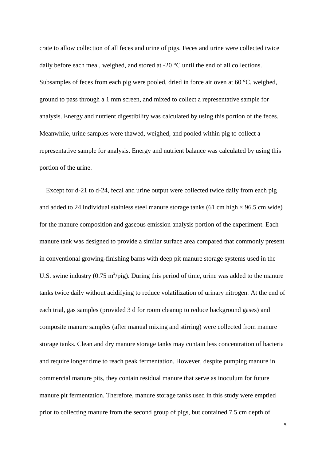crate to allow collection of all feces and urine of pigs. Feces and urine were collected twice daily before each meal, weighed, and stored at -20 °C until the end of all collections. Subsamples of feces from each pig were pooled, dried in force air oven at 60 °C, weighed, ground to pass through a 1 mm screen, and mixed to collect a representative sample for analysis. Energy and nutrient digestibility was calculated by using this portion of the feces. Meanwhile, urine samples were thawed, weighed, and pooled within pig to collect a representative sample for analysis. Energy and nutrient balance was calculated by using this portion of the urine.

Except for d-21 to d-24, fecal and urine output were collected twice daily from each pig and added to 24 individual stainless steel manure storage tanks (61 cm high  $\times$  96.5 cm wide) for the manure composition and gaseous emission analysis portion of the experiment. Each manure tank was designed to provide a similar surface area compared that commonly present in conventional growing-finishing barns with deep pit manure storage systems used in the U.S. swine industry (0.75 m<sup>2</sup>/pig). During this period of time, urine was added to the manure tanks twice daily without acidifying to reduce volatilization of urinary nitrogen. At the end of each trial, gas samples (provided 3 d for room cleanup to reduce background gases) and composite manure samples (after manual mixing and stirring) were collected from manure storage tanks. Clean and dry manure storage tanks may contain less concentration of bacteria and require longer time to reach peak fermentation. However, despite pumping manure in commercial manure pits, they contain residual manure that serve as inoculum for future manure pit fermentation. Therefore, manure storage tanks used in this study were emptied prior to collecting manure from the second group of pigs, but contained 7.5 cm depth of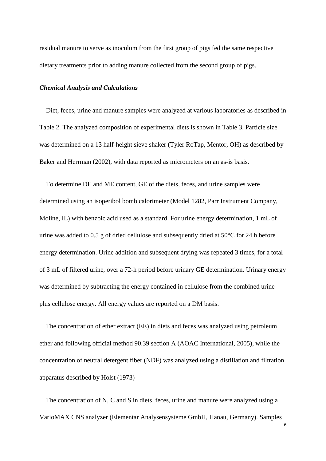residual manure to serve as inoculum from the first group of pigs fed the same respective dietary treatments prior to adding manure collected from the second group of pigs.

## *Chemical Analysis and Calculations*

Diet, feces, urine and manure samples were analyzed at various laboratories as described in Table 2. The analyzed composition of experimental diets is shown in Table 3. Particle size was determined on a 13 half-height sieve shaker (Tyler RoTap, Mentor, OH) as described by Baker and Herrman (2002), with data reported as micrometers on an as-is basis.

To determine DE and ME content, GE of the diets, feces, and urine samples were determined using an isoperibol bomb calorimeter (Model 1282, Parr Instrument Company, Moline, IL) with benzoic acid used as a standard. For urine energy determination, 1 mL of urine was added to 0.5 g of dried cellulose and subsequently dried at 50°C for 24 h before energy determination. Urine addition and subsequent drying was repeated 3 times, for a total of 3 mL of filtered urine, over a 72-h period before urinary GE determination. Urinary energy was determined by subtracting the energy contained in cellulose from the combined urine plus cellulose energy. All energy values are reported on a DM basis.

The concentration of ether extract (EE) in diets and feces was analyzed using petroleum ether and following official method 90.39 section A (AOAC International, 2005), while the concentration of neutral detergent fiber (NDF) was analyzed using a distillation and filtration apparatus described by Holst (1973)

The concentration of N, C and S in diets, feces, urine and manure were analyzed using a VarioMAX CNS analyzer (Elementar Analysensysteme GmbH, Hanau, Germany). Samples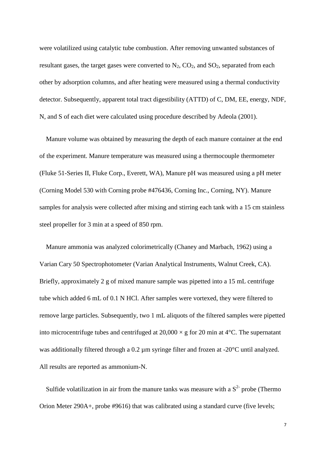were volatilized using catalytic tube combustion. After removing unwanted substances of resultant gases, the target gases were converted to  $N_2$ ,  $CO_2$ , and  $SO_2$ , separated from each other by adsorption columns, and after heating were measured using a thermal conductivity detector. Subsequently, apparent total tract digestibility (ATTD) of C, DM, EE, energy, NDF, N, and S of each diet were calculated using procedure described by Adeola (2001).

Manure volume was obtained by measuring the depth of each manure container at the end of the experiment. Manure temperature was measured using a thermocouple thermometer (Fluke 51-Series II, Fluke Corp., Everett, WA), Manure pH was measured using a pH meter (Corning Model 530 with Corning probe #476436, Corning Inc., Corning, NY). Manure samples for analysis were collected after mixing and stirring each tank with a 15 cm stainless steel propeller for 3 min at a speed of 850 rpm.

Manure ammonia was analyzed colorimetrically (Chaney and Marbach, 1962) using a Varian Cary 50 Spectrophotometer (Varian Analytical Instruments, Walnut Creek, CA). Briefly, approximately 2 g of mixed manure sample was pipetted into a 15 mL centrifuge tube which added 6 mL of 0.1 N HCl. After samples were vortexed, they were filtered to remove large particles. Subsequently, two 1 mL aliquots of the filtered samples were pipetted into microcentrifuge tubes and centrifuged at  $20,000 \times g$  for 20 min at 4°C. The supernatant was additionally filtered through a 0.2 µm syringe filter and frozen at -20°C until analyzed. All results are reported as ammonium-N.

Sulfide volatilization in air from the manure tanks was measure with a  $S<sup>2</sup>$  probe (Thermo Orion Meter 290A+, probe #9616) that was calibrated using a standard curve (five levels;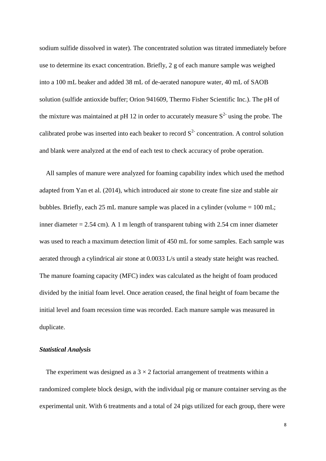sodium sulfide dissolved in water). The concentrated solution was titrated immediately before use to determine its exact concentration. Briefly, 2 g of each manure sample was weighed into a 100 mL beaker and added 38 mL of de-aerated nanopure water, 40 mL of SAOB solution (sulfide antioxide buffer; Orion 941609, Thermo Fisher Scientific Inc.). The pH of the mixture was maintained at pH 12 in order to accurately measure  $S<sup>2</sup>$  using the probe. The calibrated probe was inserted into each beaker to record  $S<sup>2</sup>$  concentration. A control solution and blank were analyzed at the end of each test to check accuracy of probe operation.

All samples of manure were analyzed for foaming capability index which used the method adapted from Yan et al. (2014), which introduced air stone to create fine size and stable air bubbles. Briefly, each 25 mL manure sample was placed in a cylinder (volume  $= 100$  mL; inner diameter  $= 2.54$  cm). A 1 m length of transparent tubing with 2.54 cm inner diameter was used to reach a maximum detection limit of 450 mL for some samples. Each sample was aerated through a cylindrical air stone at 0.0033 L/s until a steady state height was reached. The manure foaming capacity (MFC) index was calculated as the height of foam produced divided by the initial foam level. Once aeration ceased, the final height of foam became the initial level and foam recession time was recorded. Each manure sample was measured in duplicate.

#### *Statistical Analysis*

The experiment was designed as a  $3 \times 2$  factorial arrangement of treatments within a randomized complete block design, with the individual pig or manure container serving as the experimental unit. With 6 treatments and a total of 24 pigs utilized for each group, there were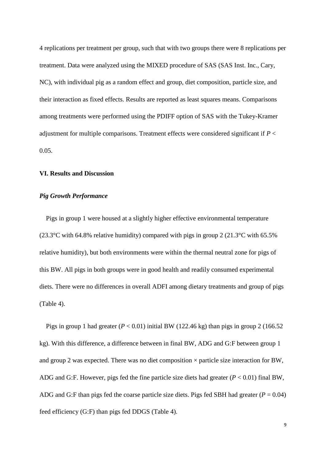4 replications per treatment per group, such that with two groups there were 8 replications per treatment. Data were analyzed using the MIXED procedure of SAS (SAS Inst. Inc., Cary, NC), with individual pig as a random effect and group, diet composition, particle size, and their interaction as fixed effects. Results are reported as least squares means. Comparisons among treatments were performed using the PDIFF option of SAS with the Tukey-Kramer adjustment for multiple comparisons. Treatment effects were considered significant if *P* < 0.05.

## **VI. Results and Discussion**

## *Pig Growth Performance*

 Pigs in group 1 were housed at a slightly higher effective environmental temperature (23.3°C with 64.8% relative humidity) compared with pigs in group 2 (21.3°C with 65.5% relative humidity), but both environments were within the thermal neutral zone for pigs of this BW. All pigs in both groups were in good health and readily consumed experimental diets. There were no differences in overall ADFI among dietary treatments and group of pigs (Table 4).

Pigs in group 1 had greater  $(P < 0.01)$  initial BW (122.46 kg) than pigs in group 2 (166.52 kg). With this difference, a difference between in final BW, ADG and G:F between group 1 and group 2 was expected. There was no diet composition  $\times$  particle size interaction for BW, ADG and G:F. However, pigs fed the fine particle size diets had greater (*P* < 0.01) final BW, ADG and G:F than pigs fed the coarse particle size diets. Pigs fed SBH had greater  $(P = 0.04)$ feed efficiency (G:F) than pigs fed DDGS (Table 4).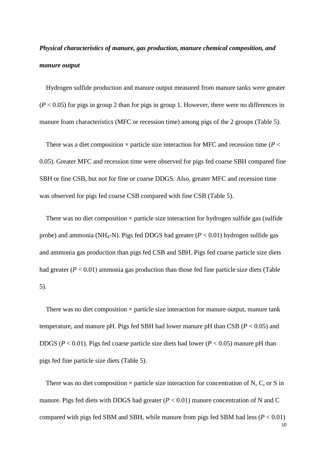# *Physical characteristics of manure, gas production, manure chemical composition, and manure output*

 Hydrogen sulfide production and manure output measured from manure tanks were greater  $(P < 0.05)$  for pigs in group 2 than for pigs in group 1. However, there were no differences in manure foam characteristics (MFC or recession time) among pigs of the 2 groups (Table 5).

There was a diet composition  $\times$  particle size interaction for MFC and recession time ( $P \lt$ ) 0.05). Greater MFC and recession time were observed for pigs fed coarse SBH compared fine SBH or fine CSB, but not for fine or coarse DDGS. Also, greater MFC and recession time was observed for pigs fed coarse CSB compared with fine CSB (Table 5).

There was no diet composition  $\times$  particle size interaction for hydrogen sulfide gas (sulfide probe) and ammonia (NH<sub>4</sub>-N). Pigs fed DDGS had greater ( $P < 0.01$ ) hydrogen sulfide gas and ammonia gas production than pigs fed CSB and SBH. Pigs fed coarse particle size diets had greater  $(P < 0.01)$  ammonia gas production than those fed fine particle size diets (Table 5).

There was no diet composition  $\times$  particle size interaction for manure output, manure tank temperature, and manure pH. Pigs fed SBH had lower manure pH than CSB (*P* < 0.05) and DDGS (*P* < 0.01). Pigs fed coarse particle size diets had lower (*P* < 0.05) manure pH than pigs fed fine particle size diets (Table 5).

There was no diet composition  $\times$  particle size interaction for concentration of N, C, or S in manure. Pigs fed diets with DDGS had greater  $(P < 0.01)$  manure concentration of N and C compared with pigs fed SBM and SBH, while manure from pigs fed SBM had less  $(P < 0.01)$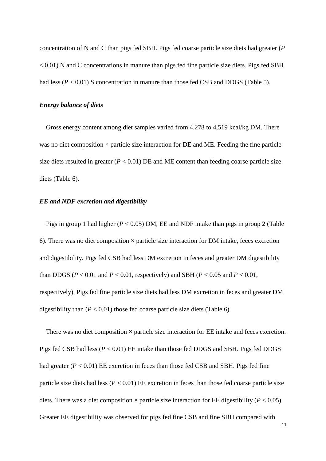concentration of N and C than pigs fed SBH. Pigs fed coarse particle size diets had greater (*P* < 0.01) N and C concentrations in manure than pigs fed fine particle size diets. Pigs fed SBH had less  $(P < 0.01)$  S concentration in manure than those fed CSB and DDGS (Table 5).

## *Energy balance of diets*

Gross energy content among diet samples varied from 4,278 to 4,519 kcal/kg DM. There was no diet composition  $\times$  particle size interaction for DE and ME. Feeding the fine particle size diets resulted in greater  $(P < 0.01)$  DE and ME content than feeding coarse particle size diets (Table 6).

## *EE and NDF excretion and digestibility*

Pigs in group 1 had higher  $(P < 0.05)$  DM, EE and NDF intake than pigs in group 2 (Table 6). There was no diet composition  $\times$  particle size interaction for DM intake, feces excretion and digestibility. Pigs fed CSB had less DM excretion in feces and greater DM digestibility than DDGS ( $P < 0.01$  and  $P < 0.01$ , respectively) and SBH ( $P < 0.05$  and  $P < 0.01$ , respectively). Pigs fed fine particle size diets had less DM excretion in feces and greater DM digestibility than  $(P < 0.01)$  those fed coarse particle size diets (Table 6).

There was no diet composition  $\times$  particle size interaction for EE intake and feces excretion. Pigs fed CSB had less (*P* < 0.01) EE intake than those fed DDGS and SBH. Pigs fed DDGS had greater  $(P < 0.01)$  EE excretion in feces than those fed CSB and SBH. Pigs fed fine particle size diets had less  $(P < 0.01)$  EE excretion in feces than those fed coarse particle size diets. There was a diet composition  $\times$  particle size interaction for EE digestibility ( $P < 0.05$ ). Greater EE digestibility was observed for pigs fed fine CSB and fine SBH compared with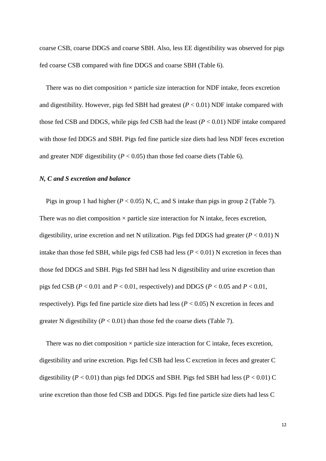coarse CSB, coarse DDGS and coarse SBH. Also, less EE digestibility was observed for pigs fed coarse CSB compared with fine DDGS and coarse SBH (Table 6).

There was no diet composition  $\times$  particle size interaction for NDF intake, feces excretion and digestibility. However, pigs fed SBH had greatest  $(P < 0.01)$  NDF intake compared with those fed CSB and DDGS, while pigs fed CSB had the least (*P* < 0.01) NDF intake compared with those fed DDGS and SBH. Pigs fed fine particle size diets had less NDF feces excretion and greater NDF digestibility  $(P < 0.05)$  than those fed coarse diets (Table 6).

## *N, C and S excretion and balance*

Pigs in group 1 had higher  $(P < 0.05)$  N, C, and S intake than pigs in group 2 (Table 7). There was no diet composition  $\times$  particle size interaction for N intake, feces excretion, digestibility, urine excretion and net N utilization. Pigs fed DDGS had greater ( $P < 0.01$ ) N intake than those fed SBH, while pigs fed CSB had less  $(P < 0.01)$  N excretion in feces than those fed DDGS and SBH. Pigs fed SBH had less N digestibility and urine excretion than pigs fed CSB ( $P < 0.01$  and  $P < 0.01$ , respectively) and DDGS ( $P < 0.05$  and  $P < 0.01$ , respectively). Pigs fed fine particle size diets had less (*P* < 0.05) N excretion in feces and greater N digestibility  $(P < 0.01)$  than those fed the coarse diets (Table 7).

There was no diet composition  $\times$  particle size interaction for C intake, feces excretion, digestibility and urine excretion. Pigs fed CSB had less C excretion in feces and greater C digestibility ( $P < 0.01$ ) than pigs fed DDGS and SBH. Pigs fed SBH had less ( $P < 0.01$ ) C urine excretion than those fed CSB and DDGS. Pigs fed fine particle size diets had less C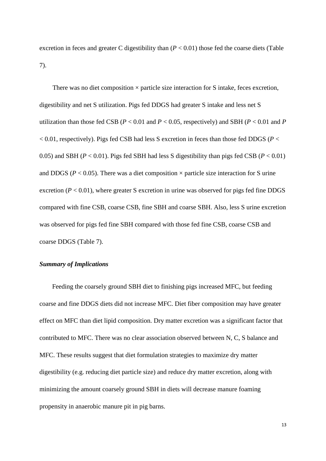excretion in feces and greater C digestibility than  $(P < 0.01)$  those fed the coarse diets (Table 7).

There was no diet composition  $\times$  particle size interaction for S intake, feces excretion, digestibility and net S utilization. Pigs fed DDGS had greater S intake and less net S utilization than those fed CSB ( $P < 0.01$  and  $P < 0.05$ , respectively) and SBH ( $P < 0.01$  and  $P$ < 0.01, respectively). Pigs fed CSB had less S excretion in feces than those fed DDGS (*P* < 0.05) and SBH ( $P < 0.01$ ). Pigs fed SBH had less S digestibility than pigs fed CSB ( $P < 0.01$ ) and DDGS ( $P < 0.05$ ). There was a diet composition  $\times$  particle size interaction for S urine excretion ( $P < 0.01$ ), where greater S excretion in urine was observed for pigs fed fine DDGS compared with fine CSB, coarse CSB, fine SBH and coarse SBH. Also, less S urine excretion was observed for pigs fed fine SBH compared with those fed fine CSB, coarse CSB and coarse DDGS (Table 7).

## *Summary of Implications*

Feeding the coarsely ground SBH diet to finishing pigs increased MFC, but feeding coarse and fine DDGS diets did not increase MFC. Diet fiber composition may have greater effect on MFC than diet lipid composition. Dry matter excretion was a significant factor that contributed to MFC. There was no clear association observed between N, C, S balance and MFC. These results suggest that diet formulation strategies to maximize dry matter digestibility (e.g. reducing diet particle size) and reduce dry matter excretion, along with minimizing the amount coarsely ground SBH in diets will decrease manure foaming propensity in anaerobic manure pit in pig barns.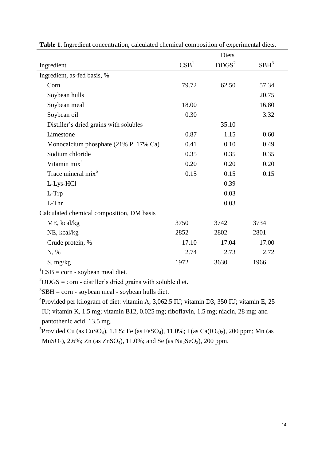|                                           |                  | Diets             |         |
|-------------------------------------------|------------------|-------------------|---------|
| Ingredient                                | CSB <sup>1</sup> | DDGS <sup>2</sup> | $SBH^3$ |
| Ingredient, as-fed basis, %               |                  |                   |         |
| Corn                                      | 79.72            | 62.50             | 57.34   |
| Soybean hulls                             |                  |                   | 20.75   |
| Soybean meal                              | 18.00            |                   | 16.80   |
| Soybean oil                               | 0.30             |                   | 3.32    |
| Distiller's dried grains with solubles    |                  | 35.10             |         |
| Limestone                                 | 0.87             | 1.15              | 0.60    |
| Monocalcium phosphate (21% P, 17% Ca)     | 0.41             | 0.10              | 0.49    |
| Sodium chloride                           | 0.35             | 0.35              | 0.35    |
| Vitamin mix <sup>4</sup>                  | 0.20             | 0.20              | 0.20    |
| Trace mineral mix <sup>5</sup>            | 0.15             | 0.15              | 0.15    |
| L-Lys-HCl                                 |                  | 0.39              |         |
| L-Trp                                     |                  | 0.03              |         |
| L-Thr                                     |                  | 0.03              |         |
| Calculated chemical composition, DM basis |                  |                   |         |
| ME, kcal/kg                               | 3750             | 3742              | 3734    |
| NE, kcal/kg                               | 2852             | 2802              | 2801    |
| Crude protein, %                          | 17.10            | 17.04             | 17.00   |
| N, %                                      | 2.74             | 2.73              | 2.72    |
| S, mg/kg                                  | 1972             | 3630              | 1966    |

| Table 1. Ingredient concentration, calculated chemical composition of experimental diets. |  |  |  |  |  |  |  |  |  |
|-------------------------------------------------------------------------------------------|--|--|--|--|--|--|--|--|--|
|-------------------------------------------------------------------------------------------|--|--|--|--|--|--|--|--|--|

 ${}^{1}CSB = \text{corn}$  - soybean meal diet.

 $^{2}$ DDGS = corn - distiller's dried grains with soluble diet.

 ${}^{3}$ SBH = corn - soybean meal - soybean hulls diet.

<sup>4</sup> Provided per kilogram of diet: vitamin A, 3,062.5 IU; vitamin D3, 350 IU; vitamin E, 25 IU; vitamin K, 1.5 mg; vitamin B12, 0.025 mg; riboflavin, 1.5 mg; niacin, 28 mg; and pantothenic acid, 13.5 mg.

<sup>5</sup> Provided Cu (as CuSO<sub>4</sub>), 1.1%; Fe (as FeSO<sub>4</sub>), 11.0%; I (as Ca(IO<sub>3</sub>)<sub>2</sub>), 200 ppm; Mn (as MnSO<sub>4</sub>), 2.6%; Zn (as ZnSO<sub>4</sub>), 11.0%; and Se (as Na<sub>2</sub>SeO<sub>3</sub>), 200 ppm.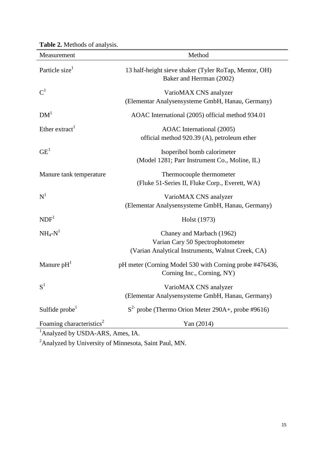| Measurement                                                                          | Method                                                                                                             |
|--------------------------------------------------------------------------------------|--------------------------------------------------------------------------------------------------------------------|
| Particle size <sup>1</sup>                                                           | 13 half-height sieve shaker (Tyler RoTap, Mentor, OH)<br>Baker and Herrman (2002)                                  |
| $\text{C}^1$                                                                         | VarioMAX CNS analyzer<br>(Elementar Analysensysteme GmbH, Hanau, Germany)                                          |
| DM <sup>1</sup>                                                                      | AOAC International (2005) official method 934.01                                                                   |
| Ether extract <sup>1</sup>                                                           | AOAC International (2005)<br>official method 920.39 (A), petroleum ether                                           |
| GE <sup>1</sup>                                                                      | Isoperibol bomb calorimeter<br>(Model 1281; Parr Instrument Co., Moline, IL)                                       |
| Manure tank temperature                                                              | Thermocouple thermometer<br>(Fluke 51-Series II, Fluke Corp., Everett, WA)                                         |
| $N^1$                                                                                | VarioMAX CNS analyzer<br>(Elementar Analysensysteme GmbH, Hanau, Germany)                                          |
| NDF <sup>1</sup>                                                                     | Holst (1973)                                                                                                       |
| $NH_4-N^1$                                                                           | Chaney and Marbach (1962)<br>Varian Cary 50 Spectrophotometer<br>(Varian Analytical Instruments, Walnut Creek, CA) |
| Manure $pH1$                                                                         | pH meter (Corning Model 530 with Corning probe #476436,<br>Corning Inc., Corning, NY)                              |
| $S^1$                                                                                | VarioMAX CNS analyzer<br>(Elementar Analysensysteme GmbH, Hanau, Germany)                                          |
| Sulfide $probe1$                                                                     | $S2$ probe (Thermo Orion Meter 290A+, probe #9616)                                                                 |
| Foaming characteristics <sup>2</sup><br><sup>1</sup> Analyzed by USDA-ARS, Ames, IA. | Yan (2014)                                                                                                         |

**Table 2.** Methods of analysis.

 $2A$ nalyzed by University of Minnesota, Saint Paul, MN.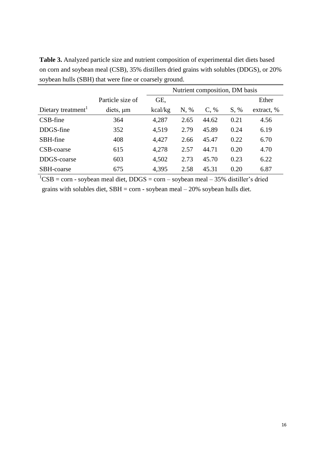**Table 3.** Analyzed particle size and nutrient composition of experimental diet diets based on corn and soybean meal (CSB), 35% distillers dried grains with solubles (DDGS), or 20% soybean hulls (SBH) that were fine or coarsely ground.

|                                |                  | Nutrient composition, DM basis |      |         |      |            |  |  |  |  |
|--------------------------------|------------------|--------------------------------|------|---------|------|------------|--|--|--|--|
|                                | Particle size of | GE,                            |      |         |      |            |  |  |  |  |
| Dietary treatment <sup>1</sup> | $diets, \mu m$   | kcal/kg                        | N, % | $C, \%$ | S, % | extract, % |  |  |  |  |
| CSB-fine                       | 364              | 4,287                          | 2.65 | 44.62   | 0.21 | 4.56       |  |  |  |  |
| DDGS-fine                      | 352              | 4,519                          | 2.79 | 45.89   | 0.24 | 6.19       |  |  |  |  |
| SBH-fine                       | 408              | 4,427                          | 2.66 | 45.47   | 0.22 | 6.70       |  |  |  |  |
| CSB-coarse                     | 615              | 4,278                          | 2.57 | 44.71   | 0.20 | 4.70       |  |  |  |  |
| DDGS-coarse                    | 603              | 4,502                          | 2.73 | 45.70   | 0.23 | 6.22       |  |  |  |  |
| SBH-coarse                     | 675              | 4,395                          | 2.58 | 45.31   | 0.20 | 6.87       |  |  |  |  |

 ${}^{1}CSB = \text{corn}$  - soybean meal diet, DDGS = corn – soybean meal – 35% distiller's dried grains with solubles diet,  $SBH = \text{corn}$  - soybean meal  $-20\%$  soybean hulls diet.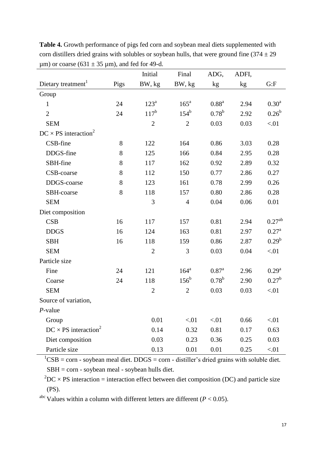|                                         |      | Initial        | Final              | ADG,              | ADFI, |                    |
|-----------------------------------------|------|----------------|--------------------|-------------------|-------|--------------------|
| Dietary treatment <sup>1</sup>          | Pigs | BW, kg         | BW, kg             | kg                | kg    | G: F               |
| Group                                   |      |                |                    |                   |       |                    |
| $\mathbf{1}$                            | 24   | $123^a$        | $165^a$            | 0.88 <sup>a</sup> | 2.94  | 0.30 <sup>a</sup>  |
| $\overline{2}$                          | 24   | $117^b$        | $154^b$            | $0.78^{\rm b}$    | 2.92  | $0.26^{b}$         |
| <b>SEM</b>                              |      | $\overline{2}$ | $\overline{2}$     | 0.03              | 0.03  | < 01               |
| $DC \times PS$ interaction <sup>2</sup> |      |                |                    |                   |       |                    |
| CSB-fine                                | 8    | 122            | 164                | 0.86              | 3.03  | 0.28               |
| DDGS-fine                               | 8    | 125            | 166                | 0.84              | 2.95  | 0.28               |
| SBH-fine                                | 8    | 117            | 162                | 0.92              | 2.89  | 0.32               |
| CSB-coarse                              | 8    | 112            | 150                | 0.77              | 2.86  | 0.27               |
| DDGS-coarse                             | 8    | 123            | 161                | 0.78              | 2.99  | 0.26               |
| SBH-coarse                              | 8    | 118            | 157                | 0.80              | 2.86  | 0.28               |
| <b>SEM</b>                              |      | 3              | $\overline{4}$     | 0.04              | 0.06  | 0.01               |
| Diet composition                        |      |                |                    |                   |       |                    |
| CSB                                     | 16   | 117            | 157                | 0.81              | 2.94  | 0.27 <sup>ab</sup> |
| <b>DDGS</b>                             | 16   | 124            | 163                | 0.81              | 2.97  | $0.27^{\rm a}$     |
| <b>SBH</b>                              | 16   | 118            | 159                | 0.86              | 2.87  | $0.29^{b}$         |
| <b>SEM</b>                              |      | $\overline{2}$ | 3                  | 0.03              | 0.04  | < 01               |
| Particle size                           |      |                |                    |                   |       |                    |
| Fine                                    | 24   | 121            | $164^a$            | $0.87^{\rm a}$    | 2.96  | $0.29^{a}$         |
| Coarse                                  | 24   | 118            | $156^{\mathrm{b}}$ | $0.78^{b}$        | 2.90  | $0.27^{b}$         |
| <b>SEM</b>                              |      | $\overline{2}$ | $\overline{2}$     | 0.03              | 0.03  | < 01               |
| Source of variation,                    |      |                |                    |                   |       |                    |
| $P$ -value                              |      |                |                    |                   |       |                    |
| Group                                   |      | 0.01           | < 01               | < 01              | 0.66  | < 01               |
| $DC \times PS$ interaction <sup>2</sup> |      | 0.14           | 0.32               | 0.81              | 0.17  | 0.63               |
| Diet composition                        |      | 0.03           | 0.23               | 0.36              | 0.25  | 0.03               |
| Particle size                           |      | 0.13           | 0.01               | 0.01              | 0.25  | < 01               |

**Table 4.** Growth performance of pigs fed corn and soybean meal diets supplemented with corn distillers dried grains with solubles or soybean hulls, that were ground fine  $(374 \pm 29)$  $\mu$ m) or coarse (631  $\pm$  35  $\mu$ m), and fed for 49-d.

 $1<sup>1</sup>CSB = corr - soybean meal diet. DDGS = corn - distiller's dried grains with soluble diet.$  $SBH = corr - soybean$  meal - soybean hulls diet.

 ${}^{2}DC \times PS$  interaction = interaction effect between diet composition (DC) and particle size (PS).

<sup>abc</sup> Values within a column with different letters are different ( $P < 0.05$ ).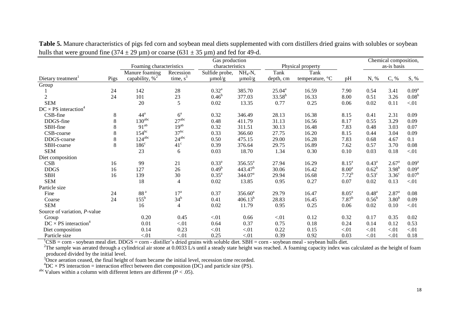|                                         |      |                             |                   |                              | Chemical composition, |             |                 |                   |                |                   |                   |
|-----------------------------------------|------|-----------------------------|-------------------|------------------------------|-----------------------|-------------|-----------------|-------------------|----------------|-------------------|-------------------|
|                                         |      | Foaming characteristics     | characteristics   |                              | Physical property     |             |                 | as-is basis       |                |                   |                   |
|                                         |      | Manure foaming<br>Recession |                   | $NH_4-N$ ,<br>Sulfide probe, |                       | Tank        | Tank            |                   |                |                   |                   |
| Dietary treatment                       | Pigs | capability, $\%^2$          | time, $s^3$       | $\mu$ mol/g                  | $\mu$ mol/g           | depth, cm   | temperature, °C | pH                | N, %           | C, %              | S, %              |
| Group                                   |      |                             |                   |                              |                       |             |                 |                   |                |                   |                   |
|                                         | 24   | 142                         | 28                | $0.32^{\rm a}$               | 385.70                | $25.04^a$   | 16.59           | 7.90              | 0.54           | 3.41              | 0.09 <sup>a</sup> |
| 2                                       | 24   | 101                         | 23                | $0.46^{\rm b}$               | 377.03                | $33.58^{b}$ | 16.33           | 8.00              | 0.51           | 3.26              | 0.08 <sup>b</sup> |
| <b>SEM</b>                              |      | 20                          | 5                 | 0.02                         | 13.35                 | 0.77        | 0.25            | 0.06              | 0.02           | 0.11              | < 01              |
| $DC \times PS$ interaction              |      |                             |                   |                              |                       |             |                 |                   |                |                   |                   |
| CSB-fine                                | 8    | 44 <sup>a</sup>             | $6^{\rm a}$       | 0.32                         | 346.49                | 28.13       | 16.38           | 8.15              | 0.41           | 2.31              | 0.09              |
| DDGS-fine                               | 8    | $130^{\text{abc}}$          | 27 <sup>abc</sup> | 0.48                         | 411.79                | 31.13       | 16.56           | 8.17              | 0.55           | 3.29              | 0.09              |
| SBH-fine                                | 8    | $91^{ab}$                   | $19^{ab}$         | 0.32                         | 311.51                | 30.13       | 16.48           | 7.83              | 0.48           | 3.03              | 0.07              |
| CSB-coarse                              | 8    | $154^{bc}$                  | 37 <sup>bc</sup>  | 0.33                         | 366.60                | 27.75       | 16.20           | 8.15              | 0.44           | 3.04              | 0.09              |
| DDGS-coarse                             | 8    | $124^{abc}$                 | $24^{abc}$        | 0.50                         | 475.15                | 29.00       | 16.28           | 7.83              | 0.68           | 4.67              | 0.1               |
| SBH-coarse                              | 8    | $186^{\circ}$               | $41^{\circ}$      | 0.39                         | 376.64                | 29.75       | 16.89           | 7.62              | 0.57           | 3.70              | 0.08              |
| <b>SEM</b>                              |      | 23                          | 6                 | 0.03                         | 18.70                 | 1.34        | 0.30            | 0.10              | 0.03           | 0.18              | < 01              |
| Diet composition                        |      |                             |                   |                              |                       |             |                 |                   |                |                   |                   |
| CSB                                     | 16   | 99                          | 21                | $0.33^{a}$                   | $356.55^a$            | 27.94       | 16.29           | $8.15^{\rm a}$    | $0.43^{\rm a}$ | $2.67^{\rm a}$    | 0.09 <sup>a</sup> |
| <b>DDGS</b>                             | 16   | 127                         | 26                | $0.49^{\rm b}$               | 443.47 <sup>b</sup>   | 30.06       | 16.42           | 8.00 <sup>a</sup> | $0.62^b$       | $3.98^{b}$        | 0.09 <sup>a</sup> |
| <b>SBH</b>                              | 16   | 139                         | 30                | 0.35 <sup>a</sup>            | 344.07 <sup>a</sup>   | 29.94       | 16.68           | $7.72^{b}$        | $0.53^{\circ}$ | 3.36 <sup>c</sup> | $0.07^{\rm b}$    |
| <b>SEM</b>                              |      | 18                          | $\overline{4}$    | 0.02                         | 13.85                 | 0.95        | 0.27            | 0.07              | 0.02           | 0.13              | $< 01$            |
| Particle size                           |      |                             |                   |                              |                       |             |                 |                   |                |                   |                   |
| Fine                                    | 24   | $88^{\rm\,a}$               | 17 <sup>a</sup>   | 0.37                         | $356.60^a$            | 29.79       | 16.47           | 8.05 <sup>a</sup> | $0.48^{a}$     | 2.87 <sup>a</sup> | 0.08              |
| Coarse                                  | 24   | $155^{\rm b}$               | 34 <sup>b</sup>   | 0.41                         | $406.13^{b}$          | 28.83       | 16.45           | $7.87^{b}$        | $0.56^{\rm b}$ | 3.80 <sup>b</sup> | 0.09              |
| <b>SEM</b>                              |      | 16                          | $\overline{4}$    | 0.02                         | 11.79                 | 0.95        | 0.25            | 0.06              | 0.02           | 0.10              | ${<}01$           |
| Source of variation, P-value            |      |                             |                   |                              |                       |             |                 |                   |                |                   |                   |
| Group                                   |      | 0.20                        | 0.45              | < 01                         | 0.66                  | < 01        | 0.12            | 0.32              | 0.17           | 0.35              | 0.02              |
| $DC \times PS$ interaction <sup>4</sup> |      | 0.01                        | ${<}01$           | 0.64                         | 0.37                  | 0.75        | 0.18            | 0.24              | 0.14           | 0.12              | 0.53              |
| Diet composition                        |      | 0.14                        | 0.23              | ${<}01$                      | ${<}01$               | 0.22        | 0.15            | < 01              | < 01           | < 01              | < 01              |
| Particle size                           |      | < 01                        | < 01              | 0.25                         | < 01                  | 0.39        | 0.92            | 0.03              | < 01           | < 01              | 0.18              |

Table 5. Manure characteristics of pigs fed corn and soybean meal diets supplemented with corn distillers dried grains with solubles or soybean hulls that were ground fine (374  $\pm$  29 um) or coarse (631  $\pm$  35 um) and fed for 49-d.

 ${}^{1}CSB = \text{corn}$  - soybean meal diet. DDGS = corn - distiller's dried grains with soluble diet. SBH = corn - soybean meal - soybean hulls diet.

<sup>2</sup>The sample was aerated through a cylindrical air stone at 0.0033 L/s until a steady state height was reached. A foaming capacity index was calculated as the height of foam produced divided by the initial level.

 $3\overline{O}$  once aeration ceased, the final height of foam became the initial level, recession time recorded.

 ${}^{4}DC \times PS$  interaction = interaction effect between diet composition (DC) and particle size (PS).

abc Values within a column with different letters are different  $(P < .05)$ .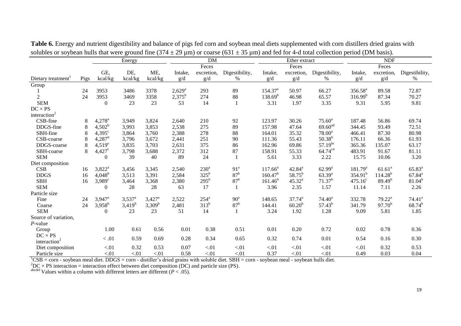|                                |       | Energy               |                      |                      | <b>DM</b>       |                    |                 |                     | Ether extract |                     | <b>NDF</b>          |                    |                    |  |
|--------------------------------|-------|----------------------|----------------------|----------------------|-----------------|--------------------|-----------------|---------------------|---------------|---------------------|---------------------|--------------------|--------------------|--|
|                                |       |                      |                      |                      |                 | Feces              |                 |                     | Feces         |                     |                     | Feces              |                    |  |
|                                |       | GE,                  | DE,                  | ME,                  | Intake,         | excretion,         | Digestibility,  | Intake,             | excretion,    | Digestibility,      | Intake,             | excretion,         | Digestibility,     |  |
| Dietary treatment <sup>1</sup> | Pigs  | kcal/kg              | kcal/kg              | kcal/kg              | g/d             | g/d                | %               | g/d                 | g/d           | %                   | g/d                 | g/d                | %                  |  |
| Group                          |       |                      |                      |                      |                 |                    |                 |                     |               |                     |                     |                    |                    |  |
|                                | 24    | 3953                 | 3486                 | 3378                 | $2,629^{\rm a}$ | 293                | 89              | 154.37 <sup>a</sup> | 50.97         | 66.27               | 356.58 <sup>a</sup> | 89.58              | 72.87              |  |
| $\overline{2}$                 | 24    | 3953                 | 3469                 | 3358                 | $2,375^b$       | 274                | 88              | $138.69^{b}$        | 46.98         | 65.57               | $316.99^{b}$        | 87.34              | 70.27              |  |
| <b>SEM</b>                     |       | $\boldsymbol{0}$     | 23                   | 23                   | 53              | 14                 |                 | 3.31                | 1.97          | 3.35                | 9.31                | 5.95               | 9.81               |  |
| $DC \times PS$                 |       |                      |                      |                      |                 |                    |                 |                     |               |                     |                     |                    |                    |  |
| interaction <sup>2</sup>       |       |                      |                      |                      |                 |                    |                 |                     |               |                     |                     |                    |                    |  |
| CSB-fine                       | 8     | $4,278^{\rm a}$      | 3,949                | 3,824                | 2,640           | 210                | 92              | 123.97              | 30.26         | $75.60^{\circ}$     | 187.48              | 56.86              | 69.74              |  |
| DDGS-fine                      | 8     | $4,502^b$            | 3,993                | 3,853                | 2,538           | 275                | 89              | 157.98              | 47.64         | 69.60 <sup>ad</sup> | 344.45              | 93.49              | 72.51              |  |
| SBH-fine                       | 8     | $4,395^{\circ}$      | 3,864                | 3,760                | 2,388           | 278                | 88              | 164.01              | 35.32         | $78.00^a$           | 466.41              | 87.30              | 80.98              |  |
| CSB-coarse                     | 8     | $4,287$ <sup>d</sup> | 3,796                | 3,672                | 2,441           | 251                | 90              | 111.36              | 55.43         | $50.38^{b}$         | 176.11              | 66.36              | 61.93              |  |
| DDGS-coarse                    | $8\,$ | $4,519^e$            | 3,835                | 3,703                | 2,631           | 375                | 86              | 162.96              | 69.86         | $57.19^{bc}$        | 365.36              | 135.07             | 63.17              |  |
| SBH-coarse                     | 8     | $4,427$ <sup>f</sup> | 3,798                | 3,688                | 2,372           | 312                | 87              | 158.91              | 55.33         | 64.74 <sup>cd</sup> | 483.91              | 91.67              | 81.11              |  |
| <b>SEM</b>                     |       | $\boldsymbol{0}$     | 39                   | 40                   | 89              | 24                 | -1              | 5.61                | 3.33          | 2.22                | 15.75               | 10.06              | 3.20               |  |
| Diet composition               |       |                      |                      |                      |                 |                    |                 |                     |               |                     |                     |                    |                    |  |
| CSB                            | 16    | $3,822^a$            | 3,456                | 3,345                | 2,540           | $230^a$            | 91 <sup>a</sup> | $117.66^a$          | $42.84^a$     | $62.99^{\rm a}$     | 181.79 <sup>a</sup> | 61.61 <sup>a</sup> | $65.83^{a}$        |  |
| <b>DDGS</b>                    | 16    | $4,048^{\rm b}$      | 3,513                | 3,391                | 2,584           | $325^{\rm b}$      | 87 <sup>b</sup> | 160.47 <sup>b</sup> | $58.75^{b}$   | $63.39^{a}$         | $354.91^{b}$        | $114.28^{b}$       | $67.84^{a}$        |  |
| <b>SBH</b>                     | 16    | $3,989^\circ$        | 3,464                | 3,368                | 2,380           | $295^{\rm b}$      | 87 <sup>b</sup> | $161.46^b$          | $45.32^{a}$   | 71.37 <sup>b</sup>  | $475.16^{\circ}$    | $89.49^{b}$        | $81.04^{b}$        |  |
| <b>SEM</b>                     |       | $\overline{0}$       | 28                   | 28                   | 63              | 17                 | 1               | 3.96                | 2.35          | 1.57                | 11.14               | 7.11               | 2.26               |  |
| Particle size                  |       |                      |                      |                      |                 |                    |                 |                     |               |                     |                     |                    |                    |  |
| Fine                           | 24    | $3,947$ <sup>a</sup> | $3,537$ <sup>a</sup> | $3,427$ <sup>a</sup> | 2,522           | $254^{\mathrm{a}}$ | 90 <sup>a</sup> | 148.65              | $37.74^{a}$   | 74.40 <sup>a</sup>  | 332.78              | $79.22^a$          | 74.41 <sup>a</sup> |  |
| Coarse                         | 24    | $3,958^{b}$          | $3,419^b$            | $3,309^b$            | 2,481           | $313^b$            | 87 <sup>b</sup> | 144.41              | $60.20^{b}$   | $57.43^{b}$         | 341.79              | $97.70^{b}$        | $68.74^{b}$        |  |
| <b>SEM</b>                     |       | $\mathbf{0}$         | 23                   | 23                   | 51              | 14                 | 1               | 3.24                | 1.92          | 1.28                | 9.09                | 5.81               | 1.85               |  |
| Source of variation,           |       |                      |                      |                      |                 |                    |                 |                     |               |                     |                     |                    |                    |  |
| $P$ -value                     |       |                      |                      |                      |                 |                    |                 |                     |               |                     |                     |                    |                    |  |
| Group                          |       | 1.00                 | 0.61                 | 0.56                 | 0.01            | 0.38               | 0.51            | 0.01                | 0.20          | 0.72                | 0.02                | 0.78               | 0.36               |  |
| $DC \times PS$                 |       |                      |                      |                      |                 |                    |                 |                     |               |                     |                     |                    |                    |  |
| interaction <sup>2</sup>       |       | $<.01\,$             | 0.59                 | 0.69                 | 0.28            | 0.34               | 0.65            | 0.32                | 0.74          | 0.01                | 0.54                | 0.16               | 0.30               |  |
| Diet composition               |       | < 01                 | 0.32                 | 0.53                 | 0.07            | < 01               | < 01            | < 01                | < 01          | < 01                | < 01                | 0.32               | 0.53               |  |
| Particle size                  |       | < 01                 | < 01                 | < 01                 | 0.58            | < 01               | < 01            | 0.37                | < 01          | < 01                | 0.49                | 0.03               | 0.04               |  |

**Table 6.** Energy and nutrient digestibility and balance of pigs fed corn and soybean meal diets supplemented with corn distillers dried grains with solubles or soybean hulls that were ground fine  $(374 \pm 29 \,\mu m)$  or coarse  $(631 \pm 35 \,\mu m)$  and fed for 4-d total collection period (DM basis).

 ${}^{1}CSB = \text{corn}$  - soybean meal diet. DDGS = corn - distiller's dried grains with soluble diet. SBH = corn - soybean meal - soybean hulls diet.

 ${}^{2}DC \times PS$  interaction = interaction effect between diet composition (DC) and particle size (PS).

abcdef Values within a column with different letters are different  $(P < .05)$ .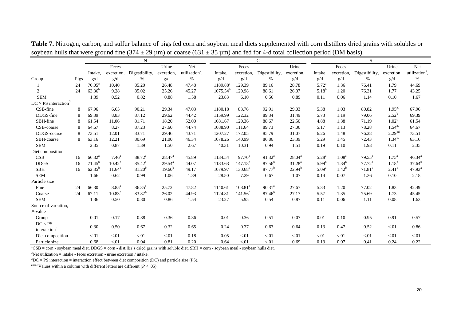|                                         |      | N                  |                   |                    |                 |                            | $\mathcal{C}$        |                 |                |                    | S                 |                   |                    |                      |                            |
|-----------------------------------------|------|--------------------|-------------------|--------------------|-----------------|----------------------------|----------------------|-----------------|----------------|--------------------|-------------------|-------------------|--------------------|----------------------|----------------------------|
|                                         |      |                    | Feces             |                    | Urine           | Net                        |                      | Feces           |                | Urine              |                   | Feces             |                    | Urine                | Net                        |
|                                         |      | Intake,            | excretion,        | Digestibility,     | excretion,      | utilization <sup>2</sup> , | Intake,              | excretion,      | Digestibility, | excretion,         | Intake,           | excretion,        | Digestibility,     | excretion,           | utilization <sup>2</sup> , |
| Group                                   | Pigs | g/d                | g/d               | $\%$               | g/d             | %                          | g/d                  | g/d             | %              | g/d                | g/d               | g/d               | $\%$               | g/d                  | $\%$                       |
|                                         | 24   | $70.05^{\text{a}}$ | 10.40             | 85.20              | 26.48           | 47.48                      | 1189.88 <sup>a</sup> | 129.39          | 89.16          | 28.78              | $5.72^{\rm a}$    | 1.36              | 76.41              | 1.79                 | 44.69                      |
| 2                                       | 24   | $63.36^{b}$        | 9.28              | 85.02              | 25.26           | 45.27                      | $1075.54^{b}$        | 120.98          | 88.61          | 26.07              | $5.18^{b}$        | 1.20              | 76.31              | 1.77                 | 43.25                      |
| <b>SEM</b>                              |      | 1.39               | 0.52              | 0.82               | 0.88            | 1.58                       | 23.83                | 6.10            | 0.56           | 0.89               | 0.11              | 0.06              | 1.14               | 0.10                 | 1.67                       |
| $DC \times PS$ interaction <sup>3</sup> |      |                    |                   |                    |                 |                            |                      |                 |                |                    |                   |                   |                    |                      |                            |
| CSB-fine                                | 8    | 67.96              | 6.65              | 90.21              | 29.34           | 47.03                      | 1180.18              | 83.76           | 92.91          | 29.03              | 5.38              | 1.03              | 80.82              | 1.95 <sup>ad</sup>   | 67.96                      |
| DDGS-fine                               | 8    | 69.39              | 8.83              | 87.12              | 29.62           | 44.42                      | 1159.99              | 122.32          | 89.34          | 31.49              | 5.73              | 1.19              | 79.06              | $2.52^b$             | 69.39                      |
| SBH-fine                                | 8    | 61.54              | 11.06             | 81.71              | 18.20           | 52.00                      | 1081.67              | 120.36          | 88.67          | 22.50              | 4.88              | 1.38              | 71.19              | $1.02^{\circ}$       | 61.54                      |
| CSB-coarse                              | 8    | 64.67              | 8.27              | 87.23              | 27.60           | 44.74                      | 1088.90              | 111.64          | 89.73          | 27.06              | 5.17              | 1.13              | 78.28              | $1.54$ <sup>ae</sup> | 64.67                      |
| DDGS-coarse                             | 8    | 73.51              | 12.01             | 83.71              | 29.46           | 43.71                      | 1207.27              | 172.05          | 85.79          | 31.07              | 6.26              | 1.48              | 76.38              | 2.29 <sup>bd</sup>   | 73.51                      |
| SBH-coarse                              | 8    | 63.16              | 12.21             | 80.69              | 21.00           | 46.34                      | 1078.26              | 140.99          | 86.86          | 23.39              | 5.29              | 1.45              | 72.43              | 1.34 <sup>ce</sup>   | 63.16                      |
| <b>SEM</b>                              |      | 2.35               | 0.87              | 1.39               | 1.50            | 2.67                       | 40.31                | 10.31           | 0.94           | 1.51               | 0.19              | 0.10              | 1.93               | 0.11                 | 2.35                       |
| Diet composition                        |      |                    |                   |                    |                 |                            |                      |                 |                |                    |                   |                   |                    |                      |                            |
| CSB                                     | 16   | $66.32^{a}$        | 7.46 <sup>a</sup> | 88.72 <sup>a</sup> | $28.47^{\rm a}$ | 45.89                      | 1134.54              | $97.70^{\circ}$ | $91.32^{a}$    | $28.04^a$          | 5.28 <sup>a</sup> | 1.08 <sup>a</sup> | $79.55^{\text{a}}$ | $1.75^{\circ}$       | $46.34^{a}$                |
| <b>DDGS</b>                             | 16   | $71.45^b$          | $10.42^{b}$       | $85.42^{\circ}$    | $29.54^{\circ}$ | 44.07                      | 1183.63              | $147.18^{b}$    | $87.56^{b}$    | 31.28 <sup>a</sup> | $5.99^{b}$        | $1.34^{b}$        | $77.72^a$          | $1.18^{b}$           | $37.64^{b}$                |
| <b>SBH</b>                              | 16   | $62.35^{b}$        | $11.64^{b}$       | $81.20^{b}$        | $19.60^{b}$     | 49.17                      | 1079.97              | $130.68^{b}$    | $87.77^{b}$    | $22.94^{b}$        | 5.09 <sup>a</sup> | $1.42^{b}$        | $71.81^b$          | $2.41^\circ$         | 47.93 <sup>a</sup>         |
| <b>SEM</b>                              |      | 1.66               | 0.62              | 0.99               | 1.06            | 1.89                       | 28.50                | 7.29            | 0.67           | 1.07               | 0.14              | 0.07              | 1.36               | 0.10                 | 2.18                       |
| Particle size                           |      |                    |                   |                    |                 |                            |                      |                 |                |                    |                   |                   |                    |                      |                            |
| Fine                                    | 24   | 66.30              | 8.85 <sup>a</sup> | $86.35^{\circ}$    | 25.72           | 47.82                      | 1140.61              | $108.81^{a}$    | $90.31^{a}$    | 27.67              | 5.33              | 1.20              | 77.02              | 1.83                 | 42.49                      |
| Coarse                                  | 24   | 67.11              | $10.83^{b}$       | $83.87^b$          | 26.02           | 44.93                      | 1124.81              | $141.56^{b}$    | $87.46^{b}$    | 27.17              | 5.57              | 1.35              | 75.69              | 1.73                 | 45.45                      |
| <b>SEM</b>                              |      | 1.36               | 0.50              | 0.80               | 0.86            | 1.54                       | 23.27                | 5.95            | 0.54           | 0.87               | 0.11              | 0.06              | 1.11               | 0.08                 | 1.63                       |
| Source of variation,                    |      |                    |                   |                    |                 |                            |                      |                 |                |                    |                   |                   |                    |                      |                            |
| $P$ -value                              |      |                    |                   |                    |                 |                            |                      |                 |                |                    |                   |                   |                    |                      |                            |
| Group                                   |      | 0.01               | 0.17              | 0.88               | 0.36            | 0.36                       | 0.01                 | 0.36            | 0.51           | 0.07               | 0.01              | 0.10              | 0.95               | 0.91                 | 0.57                       |
| $DC \times PS$                          |      | 0.30               | 0.50              | 0.67               | 0.32            | 0.65                       | 0.24                 | 0.37            | 0.63           | 0.64               | 0.13              | 0.47              | 0.52               | $-.01$               | 0.86                       |
| interaction <sup>3</sup>                |      |                    |                   |                    |                 |                            |                      |                 |                |                    |                   |                   |                    |                      |                            |
| Diet composition                        |      | < 01               | < 01              | < 01               | < 01            | 0.18                       | 0.05                 | < 01            | < 01           | < 01               | < 01              | < 01              | < 01               | $-.01$               | < 01                       |
| Particle size                           |      | 0.68               | < 01              | 0.04               | 0.81            | 0.20                       | 0.64                 | < 01            | $< 01$         | 0.69               | 0.13              | 0.07              | 0.41               | 0.24                 | 0.22                       |

**Table 7.** Nitrogen, carbon, and sulfur balance of pigs fed corn and soybean meal diets supplemented with corn distillers dried grains with solubles or soybean hulls that were ground fine (374  $\pm$  29 µm) or coarse (631  $\pm$  35 µm) and fed for 4-d total collection period (DM basis).

 ${}^{1}CSB = \text{corn}$  - soybean meal diet. DDGS = corn - distiller's dried grains with soluble diet. SBH = corn - soybean meal - soybean hulls diet.

<sup>2</sup>Net utilization = intake - feces excretion - urine excretion / intake.

 $3DC \times PS$  interaction = interaction effect between diet composition (DC) and particle size (PS).

<sup>abcde</sup> Values within a column with different letters are different ( $P < .05$ ).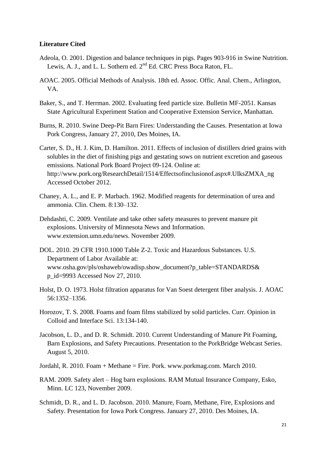#### **Literature Cited**

- Adeola, O. 2001. Digestion and balance techniques in pigs. Pages 903-916 in Swine Nutrition. Lewis, A. J., and L. L. Sothern ed. 2<sup>nd</sup> Ed. CRC Press Boca Raton, FL.
- AOAC. 2005. Official Methods of Analysis. 18th ed. Assoc. Offic. Anal. Chem., Arlington, VA.
- Baker, S., and T. Herrman. 2002. Evaluating feed particle size. Bulletin MF-2051. Kansas State Agricultural Experiment Station and Cooperative Extension Service, Manhattan.
- Burns, R. 2010. Swine Deep-Pit Barn Fires: Understanding the Causes. Presentation at Iowa Pork Congress, January 27, 2010, Des Moines, IA.
- Carter, S. D., H. J. Kim, D. Hamilton. 2011. Effects of inclusion of distillers dried grains with solubles in the diet of finishing pigs and gestating sows on nutrient excretion and gaseous emissions. National Pork Board Project 09-124. Online at: http://www.pork.org/ResearchDetail/1514/Effectsofinclusionof.aspx#.UIksZMXA\_ng Accessed October 2012.
- Chaney, A. L., and E. P. Marbach. 1962. Modified reagents for determination of urea and ammonia. Clin. Chem. 8:130–132.
- Dehdashti, C. 2009. Ventilate and take other safety measures to prevent manure pit explosions. University of Minnesota News and Information. www.extension.umn.edu/news. November 2009.
- DOL. 2010. 29 CFR 1910.1000 Table Z-2. Toxic and Hazardous Substances. U.S. Department of Labor Available at: www.osha.gov/pls/oshaweb/owadisp.show\_document?p\_table=STANDARDS& p\_id=9993 Accessed Nov 27, 2010.
- Holst, D. O. 1973. Holst filtration apparatus for Van Soest detergent fiber analysis. J. AOAC 56:1352–1356.
- Horozov, T. S. 2008. Foams and foam films stabilized by solid particles. Curr. Opinion in Colloid and Interface Sci. 13:134-140.
- Jacobson, L. D., and D. R. Schmidt. 2010. Current Understanding of Manure Pit Foaming, Barn Explosions, and Safety Precautions. Presentation to the PorkBridge Webcast Series. August 5, 2010.
- Jordahl, R. 2010. Foam + Methane = Fire. Pork. www.porkmag.com. March 2010.
- RAM. 2009. Safety alert Hog barn explosions. RAM Mutual Insurance Company, Esko, Minn. LC 123, November 2009.
- Schmidt, D. R., and L. D. Jacobson. 2010. Manure, Foam, Methane, Fire, Explosions and Safety. Presentation for Iowa Pork Congress. January 27, 2010. Des Moines, IA.